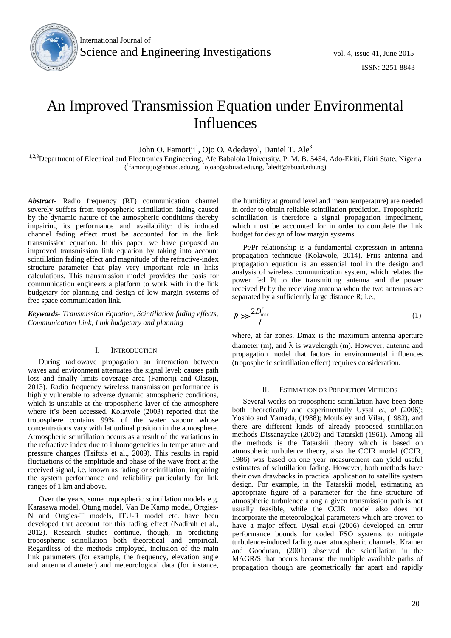

# An Improved Transmission Equation under Environmental Influences

John O. Famoriji<sup>1</sup>, Ojo O. Adedayo<sup>2</sup>, Daniel T. Ale<sup>3</sup>

<sup>1,2,3</sup>Department of Electrical and Electronics Engineering, Afe Babalola University, P. M. B. 5454, Ado-Ekiti, Ekiti State, Nigeria (<sup>1</sup>famorijijo@abuad.edu.ng, <sup>2</sup>ojoao@abuad.edu.ng, <sup>3</sup>aledt@abuad.edu.ng)

*Abstract*- Radio frequency (RF) communication channel severely suffers from tropospheric scintillation fading caused by the dynamic nature of the atmospheric conditions thereby impairing its performance and availability: this induced channel fading effect must be accounted for in the link transmission equation. In this paper, we have proposed an improved transmission link equation by taking into account scintillation fading effect and magnitude of the refractive-index structure parameter that play very important role in links calculations. This transmission model provides the basis for communication engineers a platform to work with in the link budgetary for planning and design of low margin systems of free space communication link.

*Keywords- Transmission Equation, Scintillation fading effects, Communication Link, Link budgetary and planning*

### I. INTRODUCTION

During radiowave propagation an interaction between waves and environment attenuates the signal level; causes path loss and finally limits coverage area (Famoriji and Olasoji, 2013). Radio frequency wireless transmission performance is highly vulnerable to adverse dynamic atmospheric conditions, which is unstable at the tropospheric layer of the atmosphere where it's been accessed. Kolawole (2003) reported that the troposphere contains 99% of the water vapour whose concentrations vary with latitudinal position in the atmosphere. Atmospheric scintillation occurs as a result of the variations in the refractive index due to inhomogeneities in temperature and pressure changes (Tsiftsis et al., 2009). This results in rapid fluctuations of the amplitude and phase of the wave front at the received signal, i.e. known as fading or scintillation, impairing the system performance and reliability particularly for link ranges of 1 km and above.

Over the years, some tropospheric scintillation models e.g. Karasawa model, Otung model, Van De Kamp model, Ortgies-N and Ortgies-T models, ITU-R model etc. have been developed that account for this fading effect (Nadirah et al., 2012). Research studies continue, though, in predicting tropospheric scintillation both theoretical and empirical. Regardless of the methods employed, inclusion of the main link parameters (for example, the frequency, elevation angle and antenna diameter) and meteorological data (for instance, the humidity at ground level and mean temperature) are needed in order to obtain reliable scintillation prediction. Tropospheric scintillation is therefore a signal propagation impediment, which must be accounted for in order to complete the link budget for design of low margin systems.

Pt/Pr relationship is a fundamental expression in antenna propagation technique (Kolawole, 2014). Friis antenna and propagation equation is an essential tool in the design and analysis of wireless communication system, which relates the power fed Pt to the transmitting antenna and the power received Pr by the receiving antenna when the two antennas are separated by a sufficiently large distance R; i.e.,

$$
R >> \frac{2D_{\text{max}}^2}{l} \tag{1}
$$

where, at far zones, Dmax is the maximum antenna aperture diameter (m), and  $\lambda$  is wavelength (m). However, antenna and propagation model that factors in environmental influences (tropospheric scintillation effect) requires consideration.

## II. ESTIMATION OR PREDICTION METHODS

Several works on tropospheric scintillation have been done both theoretically and experimentally Uysal *et, al* (2006); Yoshio and Yamada, (1988); Moulsley and Vilar, (1982), and there are different kinds of already proposed scintillation methods Dissanayake (2002) and Tatarskii (1961). Among all the methods is the Tatarskii theory which is based on atmospheric turbulence theory, also the CCIR model (CCIR, 1986) was based on one year measurement can yield useful estimates of scintillation fading. However, both methods have their own drawbacks in practical application to satellite system design. For example, in the Tatarskii model, estimating an appropriate figure of a parameter for the fine structure of atmospheric turbulence along a given transmission path is not usually feasible, while the CCIR model also does not incorporate the meteorological parameters which are proven to have a major effect. Uysal *et.al* (2006) developed an error performance bounds for coded FSO systems to mitigate turbulence-induced fading over atmospheric channels. Kramer and Goodman, (2001) observed the scintillation in the MAGR/S that occurs because the multiple available paths of propagation though are geometrically far apart and rapidly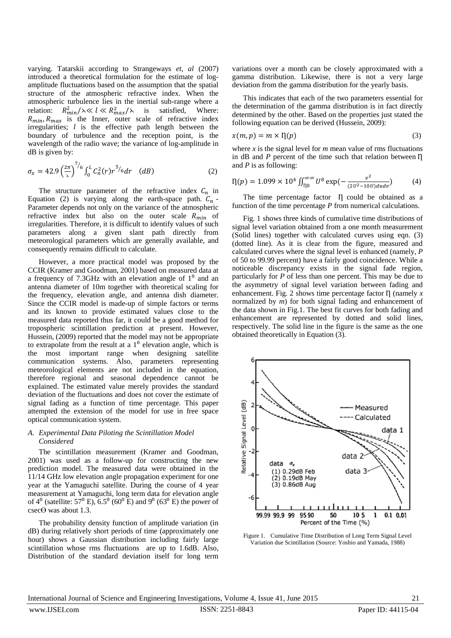varying. Tatarskii according to Strangeways *et, al* (2007) introduced a theoretical formulation for the estimate of logamplitude fluctuations based on the assumption that the spatial structure of the atmospheric refractive index. When the atmospheric turbulence lies in the inertial sub-range where a relation:  $R_{min}^2/\lambda \ll l \ll R_{max}^2/\lambda$  is satisfied, Where:  $R_{min}$ ,  $R_{max}$  is the Inner, outer scale of refractive index irregularities; *l* is the effective path length between the boundary of turbulence and the reception point, is the wavelength of the radio wave; the variance of log-amplitude in dB is given by:

$$
\sigma_x = 42.9 \left(\frac{2\pi}{\lambda}\right)^{7/6} \int_0^L C_n^2(r) r^{5/6} dr \quad (dB)
$$
 (2)

The structure parameter of the refractive index  $C_n$  in Equation (2) is varying along the earth-space path.  $C_n$  -Parameter depends not only on the variance of the atmospheric refractive index but also on the outer scale  $\overrightarrow{R}_{min}$  of irregularities. Therefore, it is difficult to identify values of such parameters along a given slant path directly from meteorological parameters which are generally available, and consequently remains difficult to calculate.

However, a more practical model was proposed by the CCIR (Kramer and Goodman, 2001) based on measured data at a frequency of 7.3GHz with an elevation angle of  $1<sup>0</sup>$  and an antenna diameter of 10m together with theoretical scaling for the frequency, elevation angle, and antenna dish diameter. Since the CCIR model is made-up of simple factors or terms and its known to provide estimated values close to the measured data reported thus far, it could be a good method for tropospheric scintillation prediction at present. However, Hussein, (2009) reported that the model may not be appropriate to extrapolate from the result at a  $1<sup>0</sup>$  elevation angle, which is the most important range when designing satellite communication systems. Also, parameters representing meteorological elements are not included in the equation, therefore regional and seasonal dependence cannot be explained. The estimated value merely provides the standard deviation of the fluctuations and does not cover the estimate of signal fading as a function of time percentage. This paper attempted the extension of the model for use in free space optical communication system.

## *A. Experimental Data Piloting the Scintillation Model Considered*

The scintillation measurement (Kramer and Goodman, 2001) was used as a follow-up for constructing the new prediction model. The measured data were obtained in the 11/14 GHz low elevation angle propagation experiment for one year at the Yamaguchi satellite. During the course of 4 year measurement at Yamaguchi, long term data for elevation angle of  $4^{\circ}$  (satellite:  $57^{\circ}$  E),  $6.5^{\circ}$  (60 $^{\circ}$  E) and  $9^{\circ}$  (63 $^{\circ}$  E) the power of csecϴ was about 1.3.

The probability density function of amplitude variation (in dB) during relatively short periods of time (approximately one hour) shows a Gaussian distribution including fairly large scintillation whose rms fluctuations are up to 1.6dB. Also, Distribution of the standard deviation itself for long term

variations over a month can be closely approximated with a gamma distribution. Likewise, there is not a very large deviation from the gamma distribution for the yearly basis.

This indicates that each of the two parameters essential for the determination of the gamma distribution is in fact directly determined by the other. Based on the properties just stated the following equation can be derived (Hussein, 2009):

$$
x(m, p) = m \times \eta(p) \tag{3}
$$

where *x* is the signal level for *m* mean value of rms fluctuations in dB and  $P$  percent of the time such that relation between  $\Pi$ and *P* is as following:

$$
\eta(p) = 1.099 \times 10^4 \iint_{\eta_0}^{\infty} U^8 \exp(-\frac{v^2}{(2U^2 - 10U)dudv}) \tag{4}
$$

The time percentage factor  $\eta$  could be obtained as a function of the time percentage *P* from numerical calculations.

Fig. 1 shows three kinds of cumulative time distributions of signal level variation obtained from a one month measurement (Solid lines) together with calculated curves using eqn. (3) (dotted line). As it is clear from the figure, measured and calculated curves where the signal level is enhanced (namely, *P*  of 50 to 99.99 percent) have a fairly good coincidence. While a noticeable discrepancy exists in the signal fade region, particularly for *P* of less than one percent. This may be due to the asymmetry of signal level variation between fading and enhancement. Fig. 2 shows time percentage factor  $\eta$  (namely *x* normalized by *m*) for both signal fading and enhancement of the data shown in Fig.1. The best fit curves for both fading and enhancement are represented by dotted and solid lines, respectively. The solid line in the figure is the same as the one obtained theoretically in Equation (3).



Figure 1. Cumulative Time Distribution of Long Term Signal Level Variation due Scintillation (Source: Yoshio and Yamada, 1988)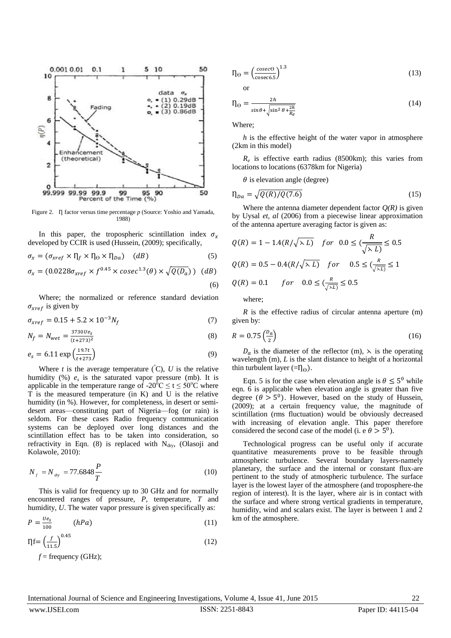

Figure 2.  $\eta$  factor versus time percentage *p* (Source: Yoshio and Yamada, 1988)

In this paper, the tropospheric scintillation index  $\sigma_x$ developed by CCIR is used (Hussein, (2009); specifically,

$$
\sigma_x = (\sigma_{xref} \times \Pi_f \times \Pi_\Theta \times \Pi_{Da}) \quad (dB)
$$
\n(5)

$$
\sigma_x = (0.0228 \sigma_{xref} \times f^{0.45} \times cosec^{1.3}(\theta) \times \sqrt{Q(D_a)}) \quad (dB)
$$
\n
$$
(6)
$$

Where; the normalized or reference standard deviation  $\sigma_{xref}$  is given by

$$
\sigma_{xref} = 0.15 + 5.2 \times 10^{-3} N_f \tag{7}
$$

$$
N_f = N_{wet} = \frac{37300 e_s}{(t + 273)^2}
$$
\n(8)

$$
e_s = 6.11 \exp\left(\frac{19.7t}{t+273}\right) \tag{9}
$$

Where *t* is the average temperature  $({}^{\circ}C)$ , *U* is the relative humidity  $(\%) e_s$  is the saturated vapor pressure (mb). It is applicable in the temperature range of -20<sup>o</sup>C  $\le t \le 50$ <sup>o</sup>C where T is the measured temperature (in K) and U is the relative humidity (in %). However, for completeness, in desert or semidesert areas—constituting part of Nigeria—fog (or rain) is seldom. For these cases Radio frequency communication systems can be deployed over long distances and the scintillation effect has to be taken into consideration, so refractivity in Eqn. (8) is replaced with  $N_{\text{dry}}$ , (Olasoji and Kolawole, 2010):

$$
N_f = N_{\text{day}} = 77.6848 \frac{P}{T} \tag{10}
$$

This is valid for frequency up to 30 GHz and for normally encountered ranges of pressure, *P*, temperature, *T* and humidity, *U*. The water vapor pressure is given specifically as:

$$
P = \frac{U e_s}{100} \qquad (hPa) \tag{11}
$$

$$
\eta f = \left(\frac{f}{11.5}\right)^{0.45} \tag{12}
$$

 $f =$  frequency (GHz);

$$
\eta_{\Theta} = \left(\frac{cosec\Theta}{cosec6.5}\right)^{1.3} \tag{13}
$$

or

$$
\eta_{\Theta} = \frac{2h}{\sin\theta + \sqrt{\sin^2\theta + \frac{2h}{R_e}}}
$$
(14)

Where;

*h* is the effective height of the water vapor in atmosphere (2km in this model)

 $R_e$  is effective earth radius (8500km); this varies from locations to locations (6378km for Nigeria)

 $\theta$  is elevation angle (degree)

$$
\eta_{Da} = \sqrt{Q(R)/Q(7.6)}\tag{15}
$$

Where the antenna diameter dependent factor  $Q(R)$  is given by Uysal *et, al* (2006) from a piecewise linear approximation of the antenna aperture averaging factor is given as:

$$
Q(R) = 1 - 1.4(R/\sqrt{\lambda L}) \quad for \quad 0.0 \le (\frac{R}{\sqrt{\lambda L}}) \le 0.5
$$
  

$$
Q(R) = 0.5 - 0.4(R/\sqrt{\lambda L}) \quad for \quad 0.5 \le (\frac{R}{\sqrt{\lambda L}}) \le 1
$$
  

$$
Q(R) = 0.1 \quad for \quad 0.0 \le (\frac{R}{\sqrt{\lambda L}}) \le 0.5
$$

where;

*R* is the effective radius of circular antenna aperture (m) given by:

$$
R = 0.75 \left(\frac{D_a}{2}\right) \tag{16}
$$

 $D_a$  is the diameter of the reflector (m),  $\lambda$  is the operating wavelength (m), *L* is the slant distance to height of a horizontal thin turbulent layer (= $\eta_{\Theta}$ ).

Eqn. 5 is for the case when elevation angle is  $\theta \leq 5^{\circ}$  while eqn. 6 is applicable when elevation angle is greater than five degree ( $\theta > 5^0$ ). However, based on the study of Hussein, (2009); at a certain frequency value, the magnitude of scintillation (rms fluctuation) would be obviously decreased with increasing of elevation angle. This paper therefore considered the second case of the model (i. e  $\theta > 5^0$ ).

Technological progress can be useful only if accurate quantitative measurements prove to be feasible through atmospheric turbulence. Several boundary layers-namely planetary, the surface and the internal or constant flux-are pertinent to the study of atmospheric turbulence. The surface layer is the lowest layer of the atmosphere (and troposphere-the region of interest). It is the layer, where air is in contact with the surface and where strong vertical gradients in temperature, humidity, wind and scalars exist. The layer is between 1 and 2 km of the atmosphere.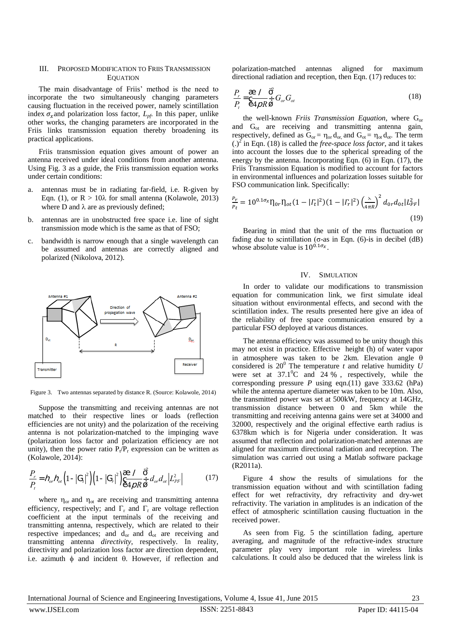## III. PROPOSED MODIFICATION TO FRIIS TRANSMISSION **EQUATION**

The main disadvantage of Friis' method is the need to incorporate the two simultaneously changing parameters causing fluctuation in the received power, namely scintillation index  $\sigma_x$  and polarization loss factor,  $L_{\textit{pf}}$ . In this paper, unlike other works, the changing parameters are incorporated in the Friis links transmission equation thereby broadening its practical applications.

Friis transmission equation gives amount of power an antenna received under ideal conditions from another antenna. Using Fig. 3 as a guide, the Friis transmission equation works under certain conditions:

- a. antennas must be in radiating far-field, i.e. R-given by Eqn. (1), or  $R > 10\lambda$  for small antenna (Kolawole, 2013) where D and  $\lambda$  are as previously defined;
- b. antennas are in unobstructed free space i.e. line of sight transmission mode which is the same as that of FSO;
- c. bandwidth is narrow enough that a single wavelength can be assumed and antennas are correctly aligned and polarized (Nikolova, 2012).



Figure 3. Two antennas separated by distance R. (Source: Kolawole, 2014)

Suppose the transmitting and receiving antennas are not matched to their respective lines or loads (reflection efficiencies are not unity) and the polarization of the receiving antenna is not polarization-matched to the impinging wave (polarization loss factor and polarization efficiency are not unity), then the power ratio  $P_t/P_r$  expression can be written as (Kolawole, 2014):

$$
\frac{P_r}{P_t} = h_{or} h_{ot} \left( 1 - |G_t|^2 \right) \left( 1 - |G_r|^2 \right) \frac{1}{6} \frac{1}{4 \rho R_0^2} \frac{1}{\dot{\phi}} \frac{\dot{\phi}^2}{d_{or} d_{ot}} |L_{PF}^2 \right) \tag{17}
$$

where  $\eta_{or}$  and  $\eta_{ot}$  are receiving and transmitting antenna efficiency, respectively; and  $\Gamma$ <sub>r</sub> and  $\Gamma$ <sub>t</sub> are voltage reflection coefficient at the input terminals of the receiving and transmitting antenna, respectively, which are related to their respective impedances; and  $d_{or}$  and  $d_{ot}$  are receiving and transmitting antenna *directivity*, respectively. In reality, directivity and polarization loss factor are direction dependent, i.e. azimuth  $\phi$  and incident  $\theta$ . However, if reflection and

polarization-matched antennas aligned for maximum directional radiation and reception, then Eqn. (17) reduces to:

$$
\frac{P_r}{P_t} = \frac{\mathcal{E}}{\mathcal{E}} \frac{1}{4\rho R} \frac{\mathcal{O}^2}{\mathcal{E}} G_{or} G_{ot}
$$
\n(18)

the well-known *Friis Transmission Equation*, where G<sub>or</sub> and Got are receiving and transmitting antenna gain, respectively, defined as  $G_{or} = \eta_{or} d_{or}$ , and  $G_{ot} = \eta_{ot} d_{ot}$ . The term  $\left(\frac{1}{2}\right)^2$  in Eqn. (18) is called the *free-space loss factor*, and it takes into account the losses due to the spherical spreading of the energy by the antenna. Incorporating Eqn. (6) in Eqn. (17), the Friis Transmission Equation is modified to account for factors in environmental influences and polarization losses suitable for FSO communication link. Specifically:

$$
\frac{P_r}{P_t} = 10^{0.1\sigma_x} \eta_{0r} \eta_{ot} (1 - |T_t|^2) (1 - |T_r|^2) \left(\frac{\lambda}{4\pi R}\right)^2 d_{0r} d_{0t} |L_{PF}^2|
$$
\n(19)

Bearing in mind that the unit of the rms fluctuation or fading due to scintillation ( $\sigma$ -as in Eqn. (6)-is in decibel (dB) whose absolute value is  $10^{0.1\sigma_x}$ .

#### IV. SIMULATION

In order to validate our modifications to transmission equation for communication link, we first simulate ideal situation without environmental effects, and second with the scintillation index. The results presented here give an idea of the reliability of free space communication ensured by a particular FSO deployed at various distances.

The antenna efficiency was assumed to be unity though this may not exist in practice. Effective height (h) of water vapor in atmosphere was taken to be 2km. Elevation angle  $\theta$ considered is  $20^0$  The temperature *t* and relative humidity *U* were set at  $37.1^{\circ}$ C and 24 %, respectively, while the corresponding pressure *P* using eqn.(11) gave 333.62 (hPa) while the antenna aperture diameter was taken to be 10m. Also, the transmitted power was set at 500kW, frequency at 14GHz, transmission distance between 0 and 5km while the transmitting and receiving antenna gains were set at 34000 and 32000, respectively and the original effective earth radius is 6378km which is for Nigeria under consideration. It was assumed that reflection and polarization-matched antennas are aligned for maximum directional radiation and reception. The simulation was carried out using a Matlab software package (R2011a).

Figure 4 show the results of simulations for the transmission equation without and with scintillation fading effect for wet refractivity, dry refractivity and dry-wet refractivity. The variation in amplitudes is an indication of the effect of atmospheric scintillation causing fluctuation in the received power.

As seen from Fig. 5 the scintillation fading, aperture averaging, and magnitude of the refractive-index structure parameter play very important role in wireless links calculations. It could also be deduced that the wireless link is